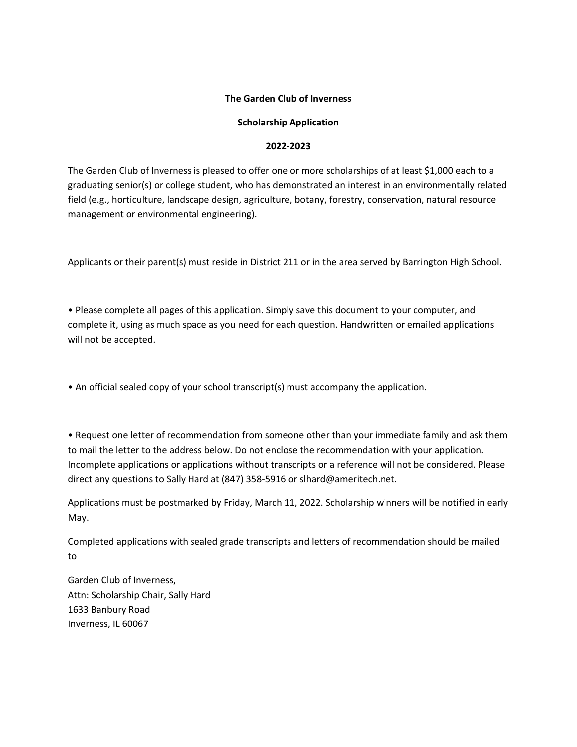## **The Garden Club of Inverness**

# **Scholarship Application**

## **2022-2023**

The Garden Club of Inverness is pleased to offer one or more scholarships of at least \$1,000 each to a graduating senior(s) or college student, who has demonstrated an interest in an environmentally related field (e.g., horticulture, landscape design, agriculture, botany, forestry, conservation, natural resource management or environmental engineering).

Applicants or their parent(s) must reside in District 211 or in the area served by Barrington High School.

• Please complete all pages of this application. Simply save this document to your computer, and complete it, using as much space as you need for each question. Handwritten or emailed applications will not be accepted.

• An official sealed copy of your school transcript(s) must accompany the application.

• Request one letter of recommendation from someone other than your immediate family and ask them to mail the letter to the address below. Do not enclose the recommendation with your application. Incomplete applications or applications without transcripts or a reference will not be considered. Please direct any questions to Sally Hard at (847) 358-5916 or slhard@ameritech.net.

Applications must be postmarked by Friday, March 11, 2022. Scholarship winners will be notified in early May.

Completed applications with sealed grade transcripts and letters of recommendation should be mailed to

Garden Club of Inverness, Attn: Scholarship Chair, Sally Hard 1633 Banbury Road Inverness, IL 60067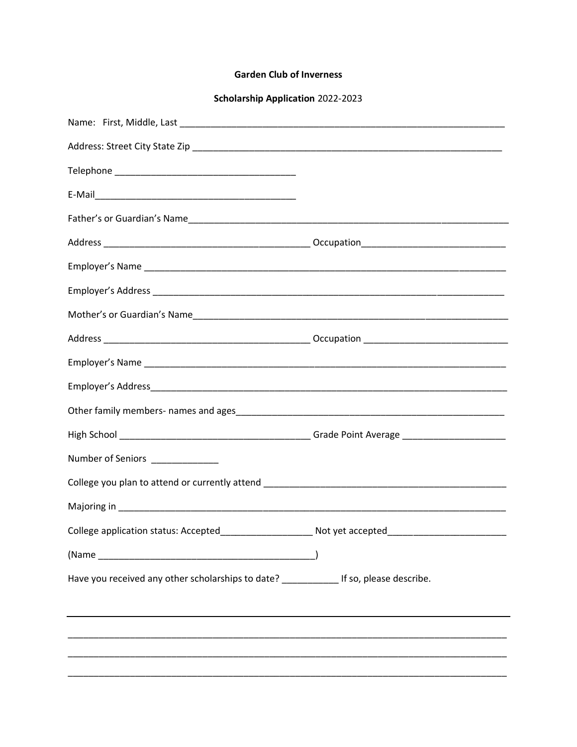## **Garden Club of Inverness**

**Scholarship Application 2022-2023** 

| Number of Seniors _______________                                                       |  |
|-----------------------------------------------------------------------------------------|--|
|                                                                                         |  |
|                                                                                         |  |
|                                                                                         |  |
|                                                                                         |  |
| Have you received any other scholarships to date? _____________ If so, please describe. |  |
|                                                                                         |  |
|                                                                                         |  |
|                                                                                         |  |
|                                                                                         |  |